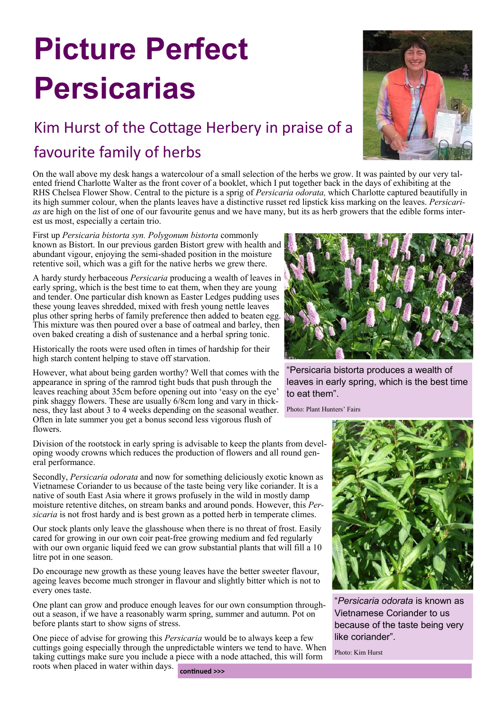## **Picture Perfect Persicarias**

## Kim Hurst of the Cottage Herbery in praise of a favourite family of herbs



On the wall above my desk hangs a watercolour of a small selection of the herbs we grow. It was painted by our very talented friend Charlotte Walter as the front cover of a booklet, which I put together back in the days of exhibiting at the RHS Chelsea Flower Show. Central to the picture is a sprig of *Persicaria odorata,* which Charlotte captured beautifully in its high summer colour, when the plants leaves have a distinctive russet red lipstick kiss marking on the leaves. *Persicarias* are high on the list of one of our favourite genus and we have many, but its as herb growers that the edible forms interest us most, especially a certain trio.

First up *Persicaria bistorta syn. Polygonum bistorta* commonly known as Bistort. In our previous garden Bistort grew with health and abundant vigour, enjoying the semi-shaded position in the moisture retentive soil, which was a gift for the native herbs we grew there.

A hardy sturdy herbaceous *Persicaria* producing a wealth of leaves in early spring, which is the best time to eat them, when they are young and tender. One particular dish known as Easter Ledges pudding uses these young leaves shredded, mixed with fresh young nettle leaves plus other spring herbs of family preference then added to beaten egg. This mixture was then poured over a base of oatmeal and barley, then oven baked creating a dish of sustenance and a herbal spring tonic.

Historically the roots were used often in times of hardship for their high starch content helping to stave off starvation.

However, what about being garden worthy? Well that comes with the appearance in spring of the ramrod tight buds that push through the leaves reaching about 35cm before opening out into 'easy on the eye' pink shaggy flowers. These are usually 6/8cm long and vary in thickness, they last about 3 to 4 weeks depending on the seasonal weather. Often in late summer you get a bonus second less vigorous flush of flowers.

Division of the rootstock in early spring is advisable to keep the plants from developing woody crowns which reduces the production of flowers and all round general performance.

Secondly, *Persicaria odorata* and now for something deliciously exotic known as Vietnamese Coriander to us because of the taste being very like coriander. It is a native of south East Asia where it grows profusely in the wild in mostly damp moisture retentive ditches, on stream banks and around ponds. However, this *Persicaria* is not frost hardy and is best grown as a potted herb in temperate climes.

Our stock plants only leave the glasshouse when there is no threat of frost. Easily cared for growing in our own coir peat-free growing medium and fed regularly with our own organic liquid feed we can grow substantial plants that will fill a 10 litre pot in one season.

Do encourage new growth as these young leaves have the better sweeter flavour, ageing leaves become much stronger in flavour and slightly bitter which is not to every ones taste.

One plant can grow and produce enough leaves for our own consumption throughout a season, if we have a reasonably warm spring, summer and autumn. Pot on before plants start to show signs of stress.

One piece of advise for growing this *Persicaria* would be to always keep a few cuttings going especially through the unpredictable winters we tend to have. When taking cuttings make sure you include a piece with a node attached, this will form roots when placed in water within days. **continued >>>**



"Persicaria bistorta produces a wealth of leaves in early spring, which is the best time to eat them".

Photo: Plant Hunters' Fairs



"*Persicaria odorata* is known as Vietnamese Coriander to us because of the taste being very like coriander".

Photo: Kim Hurst